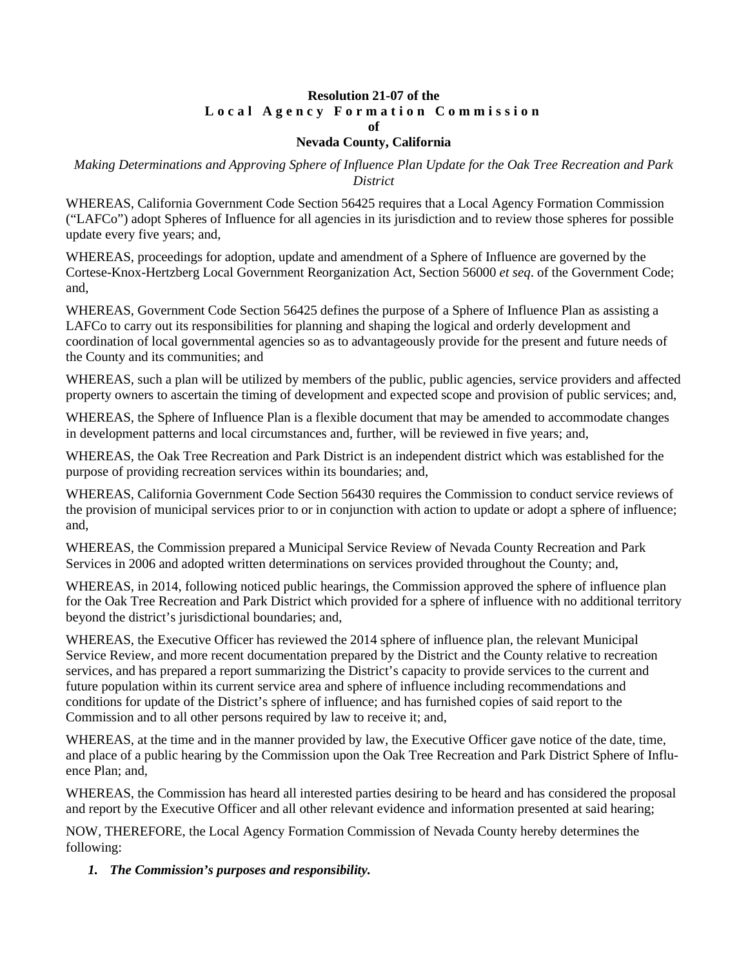# **Resolution 21-07 of the Local Agency Formation Commission of**

### **Nevada County, California**

### *Making Determinations and Approving Sphere of Influence Plan Update for the Oak Tree Recreation and Park District*

WHEREAS, California Government Code Section 56425 requires that a Local Agency Formation Commission ("LAFCo") adopt Spheres of Influence for all agencies in its jurisdiction and to review those spheres for possible update every five years; and,

WHEREAS, proceedings for adoption, update and amendment of a Sphere of Influence are governed by the Cortese-Knox-Hertzberg Local Government Reorganization Act, Section 56000 *et seq*. of the Government Code; and,

WHEREAS, Government Code Section 56425 defines the purpose of a Sphere of Influence Plan as assisting a LAFCo to carry out its responsibilities for planning and shaping the logical and orderly development and coordination of local governmental agencies so as to advantageously provide for the present and future needs of the County and its communities; and

WHEREAS, such a plan will be utilized by members of the public, public agencies, service providers and affected property owners to ascertain the timing of development and expected scope and provision of public services; and,

WHEREAS, the Sphere of Influence Plan is a flexible document that may be amended to accommodate changes in development patterns and local circumstances and, further, will be reviewed in five years; and,

WHEREAS, the Oak Tree Recreation and Park District is an independent district which was established for the purpose of providing recreation services within its boundaries; and,

WHEREAS, California Government Code Section 56430 requires the Commission to conduct service reviews of the provision of municipal services prior to or in conjunction with action to update or adopt a sphere of influence; and,

WHEREAS, the Commission prepared a Municipal Service Review of Nevada County Recreation and Park Services in 2006 and adopted written determinations on services provided throughout the County; and,

WHEREAS, in 2014, following noticed public hearings, the Commission approved the sphere of influence plan for the Oak Tree Recreation and Park District which provided for a sphere of influence with no additional territory beyond the district's jurisdictional boundaries; and,

WHEREAS, the Executive Officer has reviewed the 2014 sphere of influence plan, the relevant Municipal Service Review, and more recent documentation prepared by the District and the County relative to recreation services, and has prepared a report summarizing the District's capacity to provide services to the current and future population within its current service area and sphere of influence including recommendations and conditions for update of the District's sphere of influence; and has furnished copies of said report to the Commission and to all other persons required by law to receive it; and,

WHEREAS, at the time and in the manner provided by law, the Executive Officer gave notice of the date, time, and place of a public hearing by the Commission upon the Oak Tree Recreation and Park District Sphere of Influence Plan; and,

WHEREAS, the Commission has heard all interested parties desiring to be heard and has considered the proposal and report by the Executive Officer and all other relevant evidence and information presented at said hearing;

NOW, THEREFORE, the Local Agency Formation Commission of Nevada County hereby determines the following:

*1. The Commission's purposes and responsibility.*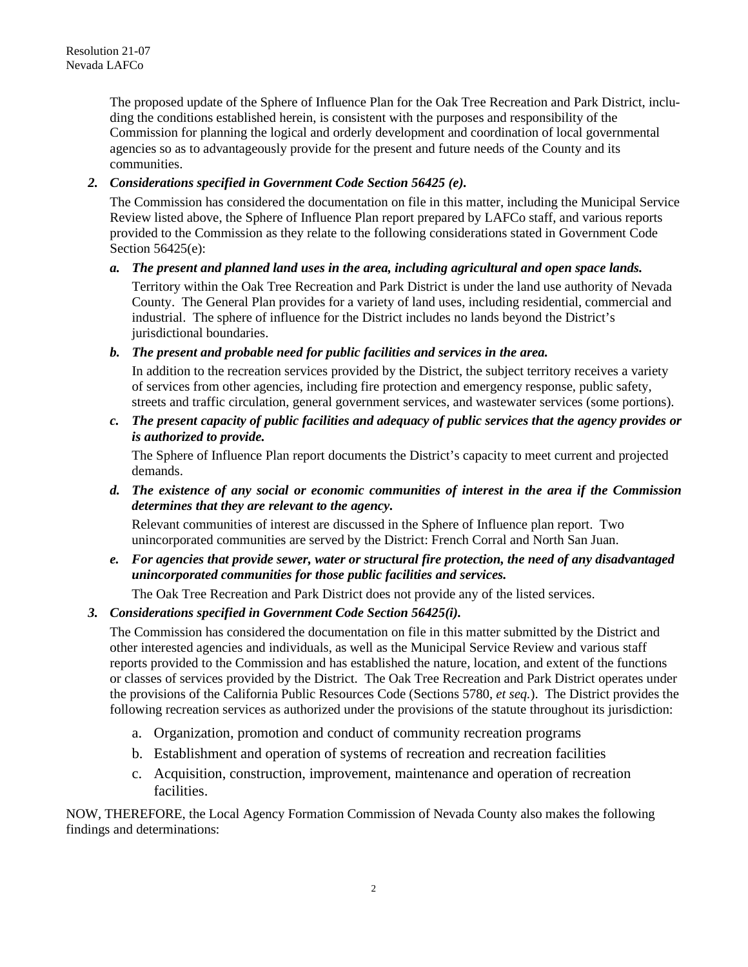The proposed update of the Sphere of Influence Plan for the Oak Tree Recreation and Park District, including the conditions established herein, is consistent with the purposes and responsibility of the Commission for planning the logical and orderly development and coordination of local governmental agencies so as to advantageously provide for the present and future needs of the County and its communities.

# *2. Considerations specified in Government Code Section 56425 (e).*

The Commission has considered the documentation on file in this matter, including the Municipal Service Review listed above, the Sphere of Influence Plan report prepared by LAFCo staff, and various reports provided to the Commission as they relate to the following considerations stated in Government Code Section 56425(e):

### *a. The present and planned land uses in the area, including agricultural and open space lands.*

Territory within the Oak Tree Recreation and Park District is under the land use authority of Nevada County. The General Plan provides for a variety of land uses, including residential, commercial and industrial. The sphere of influence for the District includes no lands beyond the District's jurisdictional boundaries.

### *b. The present and probable need for public facilities and services in the area.*

In addition to the recreation services provided by the District, the subject territory receives a variety of services from other agencies, including fire protection and emergency response, public safety, streets and traffic circulation, general government services, and wastewater services (some portions).

*c. The present capacity of public facilities and adequacy of public services that the agency provides or is authorized to provide.*

The Sphere of Influence Plan report documents the District's capacity to meet current and projected demands.

*d. The existence of any social or economic communities of interest in the area if the Commission determines that they are relevant to the agency.*

Relevant communities of interest are discussed in the Sphere of Influence plan report. Two unincorporated communities are served by the District: French Corral and North San Juan.

*e. For agencies that provide sewer, water or structural fire protection, the need of any disadvantaged unincorporated communities for those public facilities and services.*

The Oak Tree Recreation and Park District does not provide any of the listed services.

# *3. Considerations specified in Government Code Section 56425(i).*

The Commission has considered the documentation on file in this matter submitted by the District and other interested agencies and individuals, as well as the Municipal Service Review and various staff reports provided to the Commission and has established the nature, location, and extent of the functions or classes of services provided by the District. The Oak Tree Recreation and Park District operates under the provisions of the California Public Resources Code (Sections 5780, *et seq.*). The District provides the following recreation services as authorized under the provisions of the statute throughout its jurisdiction:

- a. Organization, promotion and conduct of community recreation programs
- b. Establishment and operation of systems of recreation and recreation facilities
- c. Acquisition, construction, improvement, maintenance and operation of recreation facilities.

NOW, THEREFORE, the Local Agency Formation Commission of Nevada County also makes the following findings and determinations: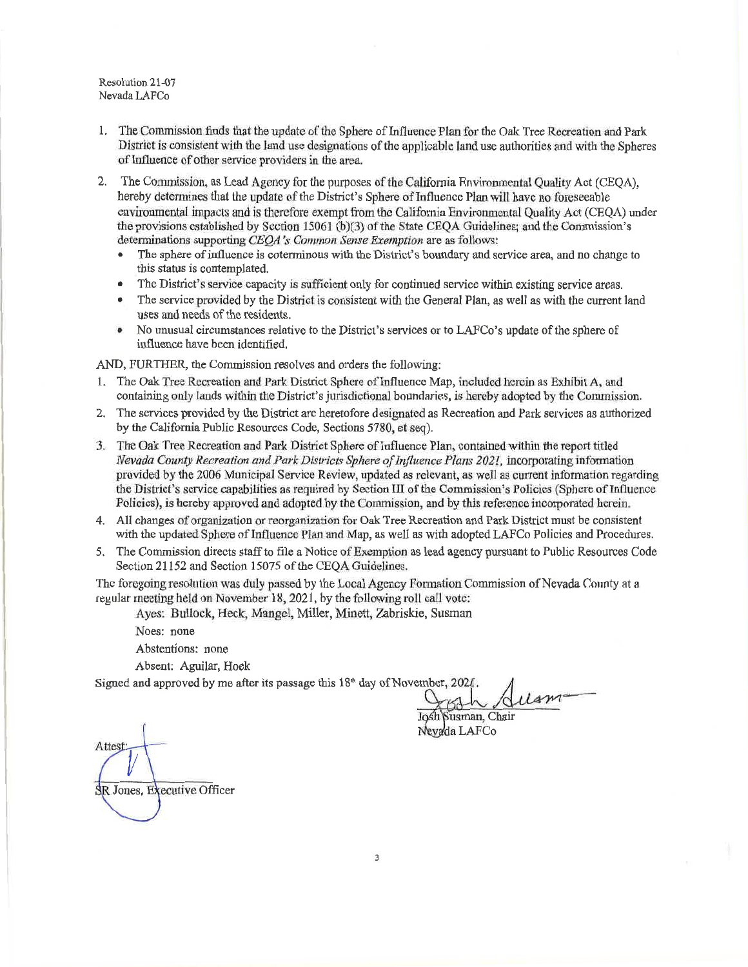Resolution 21-07 Nevada LAFCo

- 1. The Commission finds that the update of the Sphere of Influence Plan for the Oak Tree Recreation and Park District is consistent with the land use designations of the applicable land use authorities and with the Spheres of Influence of other service providers in the area.
- $2.$ The Commission, as Lead Agency for the purposes of the California Environmental Quality Act (CEQA), hereby determines that the update of the District's Sphere of Influence Plan will have no foreseeable environmental impacts and is therefore exempt from the California Environmental Ouality Act (CEOA) under the provisions established by Section 15061 (b)(3) of the State CEOA Guidelines; and the Commission's determinations supporting CEOA's Common Sense Exemption are as follows:
	- The sphere of influence is coterminous with the District's boundary and service area, and no change to  $\bullet$ this status is contemplated.
	- $\bullet$ The District's service capacity is sufficient only for continued service within existing service areas.
	- The service provided by the District is consistent with the General Plan, as well as with the current land  $\bullet$ uses and needs of the residents.
	- $\bullet$ No unusual circumstances relative to the District's services or to LAFCo's update of the sphere of influence have been identified.

AND, FURTHER, the Commission resolves and orders the following:

- 1. The Oak Tree Recreation and Park District Sphere of Influence Map, included herein as Exhibit A, and containing only lands within the District's jurisdictional boundaries, is hereby adopted by the Commission.
- 2. The services provided by the District are heretofore designated as Recreation and Park services as authorized by the California Public Resources Code, Sections 5780, et seq).
- 3. The Oak Tree Recreation and Park District Sphere of Influence Plan, contained within the report titled Nevada County Recreation and Park Districts Sphere of Influence Plans 2021, incorporating information provided by the 2006 Municipal Service Review, undated as relevant, as well as current information regarding the District's service capabilities as required by Section III of the Commission's Policies (Sphere of Influence Policies), is hereby approved and adopted by the Commission, and by this reference incorporated herein.
- 4. All changes of organization or reorganization for Oak Tree Recreation and Park District must be consistent with the updated Sphere of Influence Plan and Map, as well as with adopted LAFCo Policies and Procedures.
- 5. The Commission directs staff to file a Notice of Exemption as lead agency pursuant to Public Resources Code Section 21152 and Section 15075 of the CEQA Guidelines.

The foregoing resolution was duly passed by the Local Agency Formation Commission of Nevada County at a regular meeting held on November 18, 2021, by the following roll call vote:

Ayes: Bullock, Heck, Mangel, Miller, Minett, Zabriskie, Susman

Noes: none

Abstentions: none

Absent: Aguilar, Hoek

Signed and approved by me after its passage this 18<sup>th</sup> day of November, 2021.

Josh Susman, Chair Nevada LAFCo

Attest: SR Jones, Executive Officer